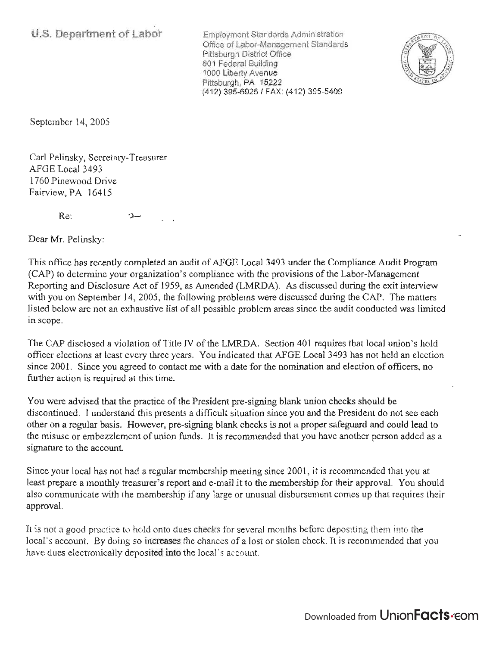Employment Standards Administration Office of Labor-Management Standards Pittsburgh District Office 801 Federal Building 1000 Liberty Avenue Pittsburgh, PA 15222 (412) 395-69251 FAX: (412) 395-5409



September 14, 2005

Carl Pelinsky, Secretary-Treasurer AFGE Local 3493 1760 Pinewood Drive Fairview, PA 16415

 $Re:$   $\Box$ 

Dear Mr. Pelinsky:

This office has recently completed an audit of AFGE Local 3493 under the Compliance Audit Program (CAP) to determine your organization's compliance with the provisions of the Labor-Management Reporting and Disclosure Act of 1959, as Amended (LMRDA). As discussed during the exit interview with you on September 14, 2005, the following problems were discussed during the CAP. The matters listed below are not an exhaustive list of all possible problem areas since the audit conducted was limited in scope.

The CAP disclosed a violation of Title IV of the LMRDA. Section 401 requires that local union's hold officer elections at least every three years. You indicated that AFGE Local 3493 has not held an election since 2001. Since you agreed to contact me with a date for the nomination and election of officers, no further action is required at this time.

You were advised that the practice of the President pre-signing blank union checks should be discontinued. I understand this presents a difficult situation since you and the President do not see each other on a regular basis. However, pre-signing blank checks is not a proper safeguard and could lead to the misuse or embezzlement of union funds. It is recommended that you have another person added as a signature to the account.

Since your local has not had a regular membership meeting since 2001, it is recommended that you at least prepare a monthly treasurer's report and e-mail it to the membership for their approval. You should also communicate with the membership if any large or unusual disbursement comes up that requires their approval.

It is not a good practice to hold onto dues checks for several months before depositing them into the local's account. By doing so increases the chances of a lost or stolen check. It is recommended that you have dues electronically deposited into the local's account.